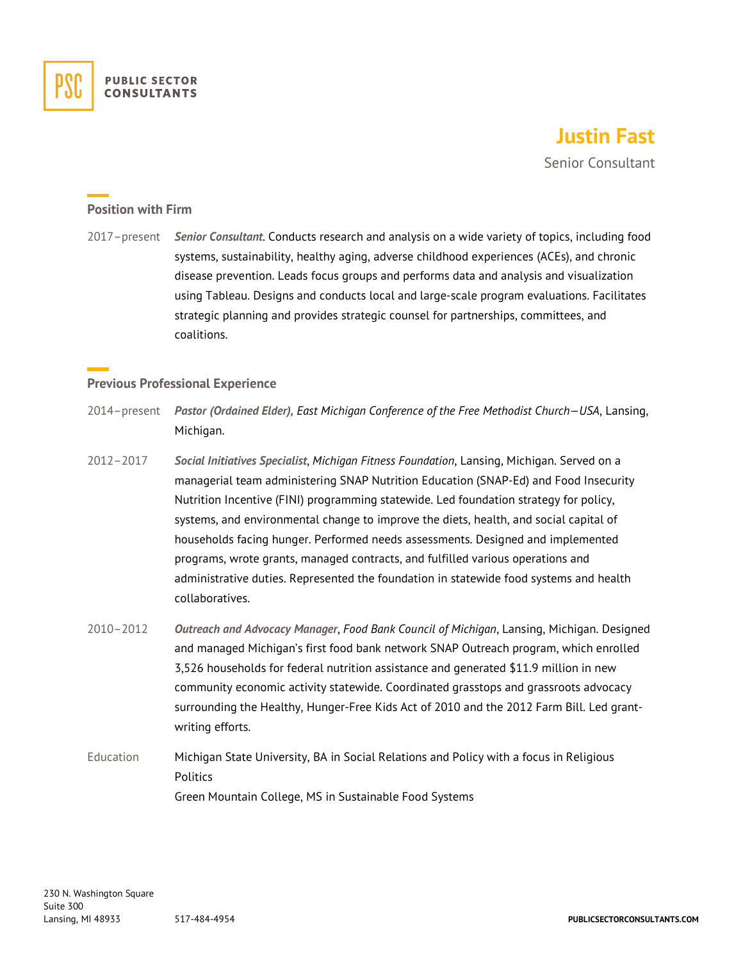

# **Justin Fast**

Senior Consultant

#### **Position with Firm**

2017–present *Senior Consultant*. Conducts research and analysis on a wide variety of topics, including food systems, sustainability, healthy aging, adverse childhood experiences (ACEs), and chronic disease prevention. Leads focus groups and performs data and analysis and visualization using Tableau. Designs and conducts local and large-scale program evaluations. Facilitates strategic planning and provides strategic counsel for partnerships, committees, and coalitions.

## **Previous Professional Experience**

- 2014–present *Pastor (Ordained Elder), East Michigan Conference of the Free Methodist Church—USA*, Lansing, Michigan.
- 2012–2017 *Social Initiatives Specialist*, *Michigan Fitness Foundation*, Lansing, Michigan. Served on a managerial team administering SNAP Nutrition Education (SNAP-Ed) and Food Insecurity Nutrition Incentive (FINI) programming statewide. Led foundation strategy for policy, systems, and environmental change to improve the diets, health, and social capital of households facing hunger. Performed needs assessments. Designed and implemented programs, wrote grants, managed contracts, and fulfilled various operations and administrative duties. Represented the foundation in statewide food systems and health collaboratives.
- 2010–2012 *Outreach and Advocacy Manager*, *Food Bank Council of Michigan*, Lansing, Michigan. Designed and managed Michigan's first food bank network SNAP Outreach program, which enrolled 3,526 households for federal nutrition assistance and generated \$11.9 million in new community economic activity statewide. Coordinated grasstops and grassroots advocacy surrounding the Healthy, Hunger-Free Kids Act of 2010 and the 2012 Farm Bill. Led grantwriting efforts.
- Education Michigan State University, BA in Social Relations and Policy with a focus in Religious **Politics** Green Mountain College, MS in Sustainable Food Systems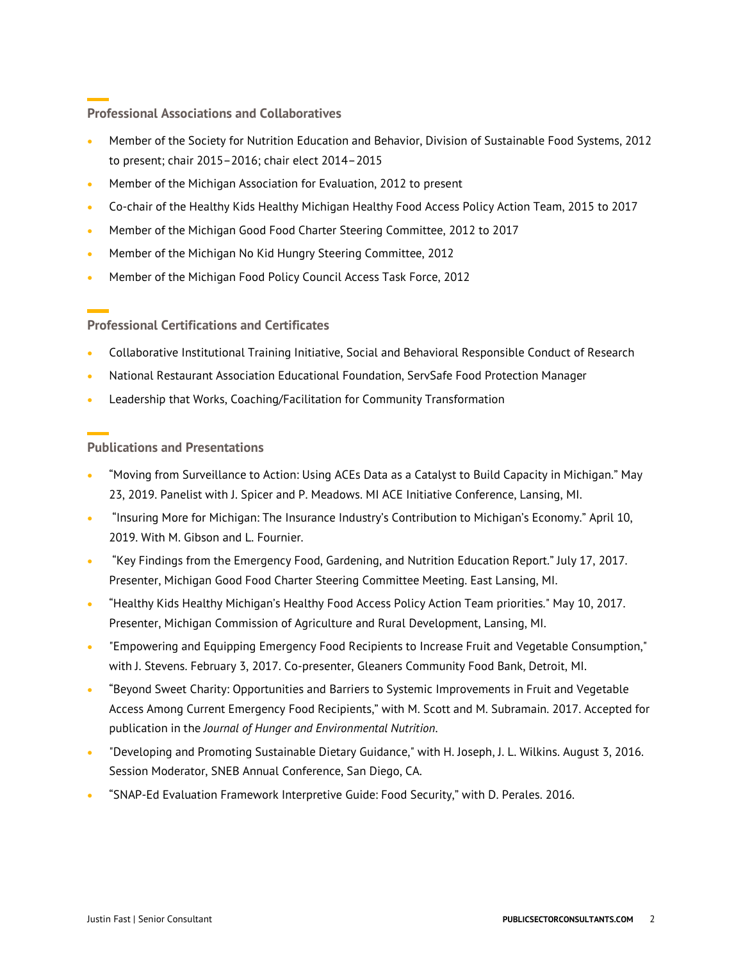## **Professional Associations and Collaboratives**

- Member of the Society for Nutrition Education and Behavior, Division of Sustainable Food Systems, 2012 to present; chair 2015–2016; chair elect 2014–2015
- Member of the Michigan Association for Evaluation, 2012 to present
- Co-chair of the Healthy Kids Healthy Michigan Healthy Food Access Policy Action Team, 2015 to 2017
- Member of the Michigan Good Food Charter Steering Committee, 2012 to 2017
- Member of the Michigan No Kid Hungry Steering Committee, 2012
- Member of the Michigan Food Policy Council Access Task Force, 2012

## **Professional Certifications and Certificates**

- Collaborative Institutional Training Initiative, Social and Behavioral Responsible Conduct of Research
- National Restaurant Association Educational Foundation, ServSafe Food Protection Manager
- Leadership that Works, Coaching/Facilitation for Community Transformation

#### **Publications and Presentations**

- "Moving from Surveillance to Action: Using ACEs Data as a Catalyst to Build Capacity in Michigan." May 23, 2019. Panelist with J. Spicer and P. Meadows. MI ACE Initiative Conference, Lansing, MI.
- "Insuring More for Michigan: The Insurance Industry's Contribution to Michigan's Economy." April 10, 2019. With M. Gibson and L. Fournier.
- "Key Findings from the Emergency Food, Gardening, and Nutrition Education Report." July 17, 2017. Presenter, Michigan Good Food Charter Steering Committee Meeting. East Lansing, MI.
- "Healthy Kids Healthy Michigan's Healthy Food Access Policy Action Team priorities." May 10, 2017. Presenter, Michigan Commission of Agriculture and Rural Development, Lansing, MI.
- "Empowering and Equipping Emergency Food Recipients to Increase Fruit and Vegetable Consumption," with J. Stevens. February 3, 2017. Co-presenter, Gleaners Community Food Bank, Detroit, MI.
- "Beyond Sweet Charity: Opportunities and Barriers to Systemic Improvements in Fruit and Vegetable Access Among Current Emergency Food Recipients," with M. Scott and M. Subramain. 2017. Accepted for publication in the *Journal of Hunger and Environmental Nutrition*.
- "Developing and Promoting Sustainable Dietary Guidance," with H. Joseph, J. L. Wilkins. August 3, 2016. Session Moderator, SNEB Annual Conference, San Diego, CA.
- "SNAP-Ed Evaluation Framework Interpretive Guide: Food Security," with D. Perales. 2016.